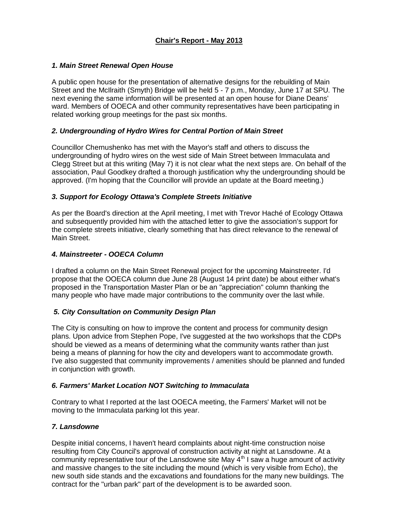### *1. Main Street Renewal Open House*

A public open house for the presentation of alternative designs for the rebuilding of Main Street and the McIlraith (Smyth) Bridge will be held 5 - 7 p.m., Monday, June 17 at SPU. The next evening the same information will be presented at an open house for Diane Deans' ward. Members of OOECA and other community representatives have been participating in related working group meetings for the past six months.

### *2. Undergrounding of Hydro Wires for Central Portion of Main Street*

Councillor Chernushenko has met with the Mayor's staff and others to discuss the undergrounding of hydro wires on the west side of Main Street between Immaculata and Clegg Street but at this writing (May 7) it is not clear what the next steps are. On behalf of the association, Paul Goodkey drafted a thorough justification why the undergrounding should be approved. (I'm hoping that the Councillor will provide an update at the Board meeting.)

### *3. Support for Ecology Ottawa's Complete Streets Initiative*

As per the Board's direction at the April meeting, I met with Trevor Haché of Ecology Ottawa and subsequently provided him with the attached letter to give the association's support for the complete streets initiative, clearly something that has direct relevance to the renewal of Main Street.

### *4. Mainstreeter - OOECA Column*

I drafted a column on the Main Street Renewal project for the upcoming Mainstreeter. I'd propose that the OOECA column due June 28 (August 14 print date) be about either what's proposed in the Transportation Master Plan or be an "appreciation" column thanking the many people who have made major contributions to the community over the last while.

## *5. City Consultation on Community Design Plan*

The City is consulting on how to improve the content and process for community design plans. Upon advice from Stephen Pope, I've suggested at the two workshops that the CDPs should be viewed as a means of determining what the community wants rather than just being a means of planning for how the city and developers want to accommodate growth. I've also suggested that community improvements / amenities should be planned and funded in conjunction with growth.

#### *6. Farmers' Market Location NOT Switching to Immaculata*

Contrary to what I reported at the last OOECA meeting, the Farmers' Market will not be moving to the Immaculata parking lot this year.

#### *7. Lansdowne*

Despite initial concerns, I haven't heard complaints about night-time construction noise resulting from City Council's approval of construction activity at night at Lansdowne. At a community representative tour of the Lansdowne site May  $4<sup>th</sup>$  I saw a huge amount of activity and massive changes to the site including the mound (which is very visible from Echo), the new south side stands and the excavations and foundations for the many new buildings. The contract for the "urban park" part of the development is to be awarded soon.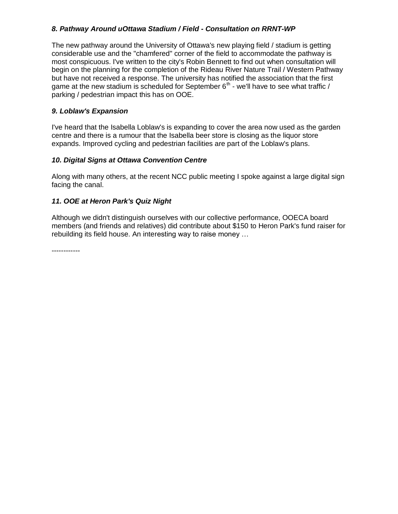# *8. Pathway Around uOttawa Stadium / Field - Consultation on RRNT-WP*

The new pathway around the University of Ottawa's new playing field / stadium is getting considerable use and the "chamfered" corner of the field to accommodate the pathway is most conspicuous. I've written to the city's Robin Bennett to find out when consultation will begin on the planning for the completion of the Rideau River Nature Trail / Western Pathway but have not received a response. The university has notified the association that the first game at the new stadium is scheduled for September  $6<sup>th</sup>$  - we'll have to see what traffic / parking / pedestrian impact this has on OOE.

### *9. Loblaw's Expansion*

I've heard that the Isabella Loblaw's is expanding to cover the area now used as the garden centre and there is a rumour that the Isabella beer store is closing as the liquor store expands. Improved cycling and pedestrian facilities are part of the Loblaw's plans.

### *10. Digital Signs at Ottawa Convention Centre*

Along with many others, at the recent NCC public meeting I spoke against a large digital sign facing the canal.

### *11. OOE at Heron Park's Quiz Night*

Although we didn't distinguish ourselves with our collective performance, OOECA board members (and friends and relatives) did contribute about \$150 to Heron Park's fund raiser for rebuilding its field house. An interesting way to raise money …

------------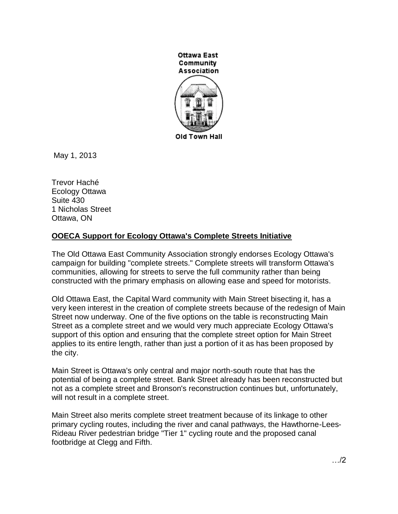

May 1, 2013

Trevor Haché Ecology Ottawa Suite 430 1 Nicholas Street Ottawa, ON

# **OOECA Support for Ecology Ottawa's Complete Streets Initiative**

The Old Ottawa East Community Association strongly endorses Ecology Ottawa's campaign for building "complete streets." Complete streets will transform Ottawa's communities, allowing for streets to serve the full community rather than being constructed with the primary emphasis on allowing ease and speed for motorists.

Old Ottawa East, the Capital Ward community with Main Street bisecting it, has a very keen interest in the creation of complete streets because of the redesign of Main Street now underway. One of the five options on the table is reconstructing Main Street as a complete street and we would very much appreciate Ecology Ottawa's support of this option and ensuring that the complete street option for Main Street applies to its entire length, rather than just a portion of it as has been proposed by the city.

Main Street is Ottawa's only central and major north-south route that has the potential of being a complete street. Bank Street already has been reconstructed but not as a complete street and Bronson's reconstruction continues but, unfortunately, will not result in a complete street.

Main Street also merits complete street treatment because of its linkage to other primary cycling routes, including the river and canal pathways, the Hawthorne-Lees-Rideau River pedestrian bridge "Tier 1" cycling route and the proposed canal footbridge at Clegg and Fifth.